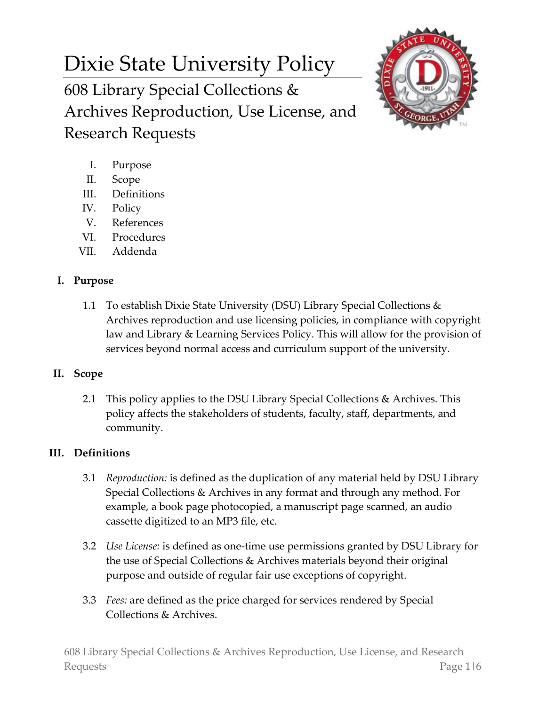# Dixie State University Policy

608 Library Special Collections & Archives Reproduction, Use License, and Research Requests



- I. Purpose
- II. Scope
- III. Definitions
- IV. Policy
- V. References
- VI. Procedures
- VII. Addenda

## **I. Purpose**

1.1 To establish Dixie State University (DSU) Library Special Collections & Archives reproduction and use licensing policies, in compliance with copyright law and Library & Learning Services Policy. This will allow for the provision of services beyond normal access and curriculum support of the university.

## **II. Scope**

2.1 This policy applies to the DSU Library Special Collections & Archives. This policy affects the stakeholders of students, faculty, staff, departments, and community.

## **III. Definitions**

- 3.1 *Reproduction:* is defined as the duplication of any material held by DSU Library Special Collections & Archives in any format and through any method. For example, a book page photocopied, a manuscript page scanned, an audio cassette digitized to an MP3 file, etc.
- 3.2 *Use License:* is defined as one-time use permissions granted by DSU Library for the use of Special Collections & Archives materials beyond their original purpose and outside of regular fair use exceptions of copyright.
- 3.3 *Fees:* are defined as the price charged for services rendered by Special Collections & Archives.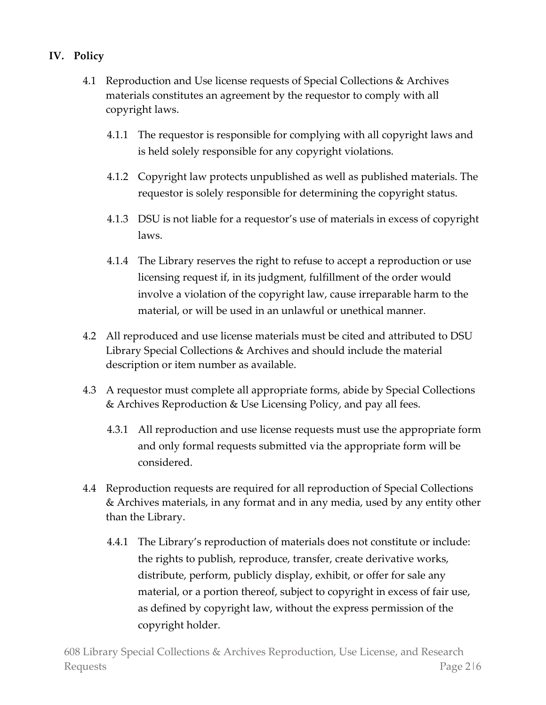### **IV. Policy**

- 4.1 Reproduction and Use license requests of Special Collections & Archives materials constitutes an agreement by the requestor to comply with all [copyright laws.](https://www.copyright.gov/title17/)
	- 4.1.1 The requestor is responsible for complying with all copyright laws and is held solely responsible for any copyright violations.
	- 4.1.2 Copyright law protects unpublished as well as published materials. The requestor is solely responsible for determining the copyright status.
	- 4.1.3 DSU is not liable for a requestor's use of materials in excess of copyright laws.
	- 4.1.4 The Library reserves the right to refuse to accept a reproduction or use licensing request if, in its judgment, fulfillment of the order would involve a violation of the copyright law, cause irreparable harm to the material, or will be used in an unlawful or unethical manner.
- 4.2 All reproduced and use license materials must be cited and attributed to DSU Library Special Collections & Archives and should include the material description or item number as available.
- 4.3 A requestor must complete all appropriate forms, abide by Special Collections & Archives Reproduction & Use Licensing Policy, and pay all fees.
	- 4.3.1 All reproduction and use license requests must use the appropriate form and only formal requests submitted via the appropriate form will be considered.
- 4.4 Reproduction requests are required for all reproduction of Special Collections & Archives materials, in any format and in any media, used by any entity other than the Library.
	- 4.4.1 The Library's reproduction of materials does not constitute or include: the rights to publish, reproduce, transfer, create derivative works, distribute, perform, publicly display, exhibit, or offer for sale any material, or a portion thereof, subject to copyright in excess of fair use, as defined by copyright law, without the express permission of the copyright holder.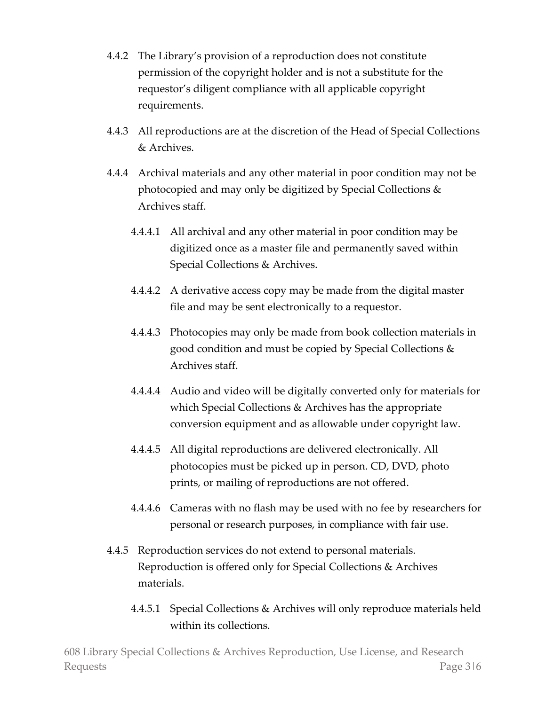- 4.4.2 The Library's provision of a reproduction does not constitute permission of the copyright holder and is not a substitute for the requestor's diligent compliance with all applicable copyright requirements.
- 4.4.3 All reproductions are at the discretion of the Head of Special Collections & Archives.
- 4.4.4 Archival materials and any other material in poor condition may not be photocopied and may only be digitized by Special Collections & Archives staff.
	- 4.4.4.1 All archival and any other material in poor condition may be digitized once as a master file and permanently saved within Special Collections & Archives.
	- 4.4.4.2 A derivative access copy may be made from the digital master file and may be sent electronically to a requestor.
	- 4.4.4.3 Photocopies may only be made from book collection materials in good condition and must be copied by Special Collections & Archives staff.
	- 4.4.4.4 Audio and video will be digitally converted only for materials for which Special Collections & Archives has the appropriate conversion equipment and as allowable under copyright law.
	- 4.4.4.5 All digital reproductions are delivered electronically. All photocopies must be picked up in person. CD, DVD, photo prints, or mailing of reproductions are not offered.
	- 4.4.4.6 Cameras with no flash may be used with no fee by researchers for personal or research purposes, in compliance with fair use.
- 4.4.5 Reproduction services do not extend to personal materials. Reproduction is offered only for Special Collections & Archives materials.
	- 4.4.5.1 Special Collections & Archives will only reproduce materials held within its collections.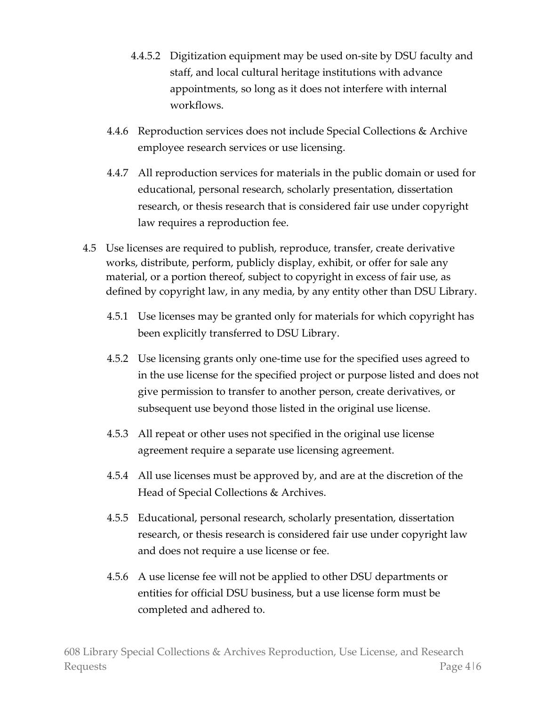- 4.4.5.2 Digitization equipment may be used on-site by DSU faculty and staff, and local cultural heritage institutions with advance appointments, so long as it does not interfere with internal workflows.
- 4.4.6 Reproduction services does not include Special Collections & Archive employee research services or use licensing.
- 4.4.7 All reproduction services for materials in the public domain or used for educational, personal research, scholarly presentation, dissertation research, or thesis research that is considered fair use under copyright law requires a reproduction fee.
- 4.5 Use licenses are required to publish, reproduce, transfer, create derivative works, distribute, perform, publicly display, exhibit, or offer for sale any material, or a portion thereof, subject to copyright in excess of fair use, as defined by copyright law, in any media, by any entity other than DSU Library.
	- 4.5.1 Use licenses may be granted only for materials for which copyright has been explicitly transferred to DSU Library.
	- 4.5.2 Use licensing grants only one-time use for the specified uses agreed to in the use license for the specified project or purpose listed and does not give permission to transfer to another person, create derivatives, or subsequent use beyond those listed in the original use license.
	- 4.5.3 All repeat or other uses not specified in the original use license agreement require a separate use licensing agreement.
	- 4.5.4 All use licenses must be approved by, and are at the discretion of the Head of Special Collections & Archives.
	- 4.5.5 Educational, personal research, scholarly presentation, dissertation research, or thesis research is considered fair use under copyright law and does not require a use license or fee.
	- 4.5.6 A use license fee will not be applied to other DSU departments or entities for official DSU business, but a use license form must be completed and adhered to.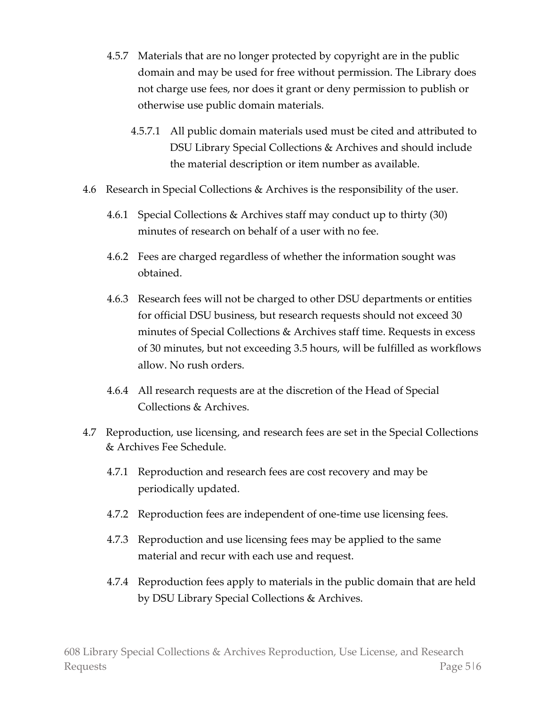- 4.5.7 Materials that are no longer protected by copyright are in the public domain and may be used for free without permission. The Library does not charge use fees, nor does it grant or deny permission to publish or otherwise use public domain materials.
	- 4.5.7.1 All public domain materials used must be cited and attributed to DSU Library Special Collections & Archives and should include the material description or item number as available.
- 4.6 Research in Special Collections & Archives is the responsibility of the user.
	- 4.6.1 Special Collections & Archives staff may conduct up to thirty (30) minutes of research on behalf of a user with no fee.
	- 4.6.2 Fees are charged regardless of whether the information sought was obtained.
	- 4.6.3 Research fees will not be charged to other DSU departments or entities for official DSU business, but research requests should not exceed 30 minutes of Special Collections & Archives staff time. Requests in excess of 30 minutes, but not exceeding 3.5 hours, will be fulfilled as workflows allow. No rush orders.
	- 4.6.4 All research requests are at the discretion of the Head of Special Collections & Archives.
- 4.7 Reproduction, use licensing, and research fees are set in the Special Collections & Archives Fee Schedule.
	- 4.7.1 Reproduction and research fees are cost recovery and may be periodically updated.
	- 4.7.2 Reproduction fees are independent of one-time use licensing fees.
	- 4.7.3 Reproduction and use licensing fees may be applied to the same material and recur with each use and request.
	- 4.7.4 Reproduction fees apply to materials in the public domain that are held by DSU Library Special Collections & Archives.